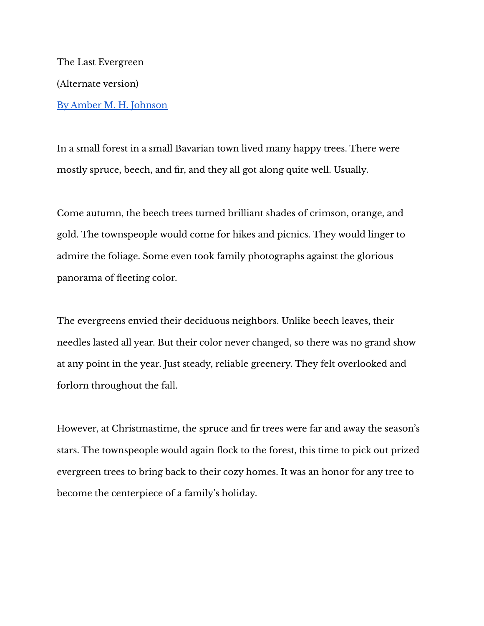The Last Evergreen (Alternate version) By Amber M. H. [Johnson](https://lifeandtimesofstella.com/)

In a small forest in a small Bavarian town lived many happy trees. There were mostly spruce, beech, and fir, and they all got along quite well. Usually.

Come autumn, the beech trees turned brilliant shades of crimson, orange, and gold. The townspeople would come for hikes and picnics. They would linger to admire the foliage. Some even took family photographs against the glorious panorama of fleeting color.

The evergreens envied their deciduous neighbors. Unlike beech leaves, their needles lasted all year. But their color never changed, so there was no grand show at any point in the year. Just steady, reliable greenery. They felt overlooked and forlorn throughout the fall.

However, at Christmastime, the spruce and fir trees were far and away the season's stars. The townspeople would again flock to the forest, this time to pick out prized evergreen trees to bring back to their cozy homes. It was an honor for any tree to become the centerpiece of a family's holiday.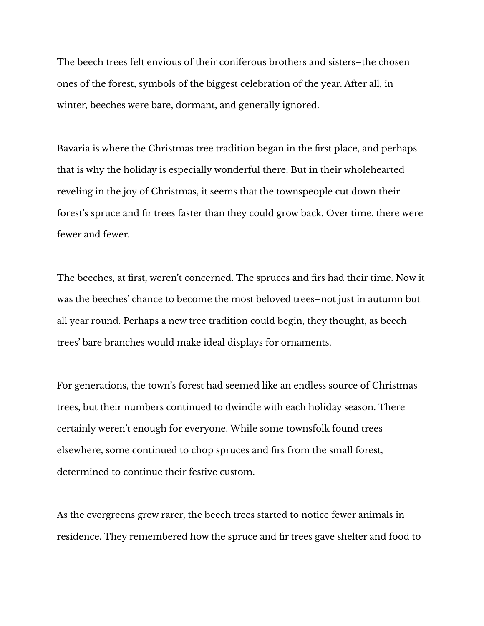The beech trees felt envious of their coniferous brothers and sisters–the chosen ones of the forest, symbols of the biggest celebration of the year. After all, in winter, beeches were bare, dormant, and generally ignored.

Bavaria is where the Christmas tree tradition began in the first place, and perhaps that is why the holiday is especially wonderful there. But in their wholehearted reveling in the joy of Christmas, it seems that the townspeople cut down their forest's spruce and fir trees faster than they could grow back. Over time, there were fewer and fewer.

The beeches, at first, weren't concerned. The spruces and firs had their time. Now it was the beeches' chance to become the most beloved trees–not just in autumn but all year round. Perhaps a new tree tradition could begin, they thought, as beech trees' bare branches would make ideal displays for ornaments.

For generations, the town's forest had seemed like an endless source of Christmas trees, but their numbers continued to dwindle with each holiday season. There certainly weren't enough for everyone. While some townsfolk found trees elsewhere, some continued to chop spruces and firs from the small forest, determined to continue their festive custom.

As the evergreens grew rarer, the beech trees started to notice fewer animals in residence. They remembered how the spruce and fir trees gave shelter and food to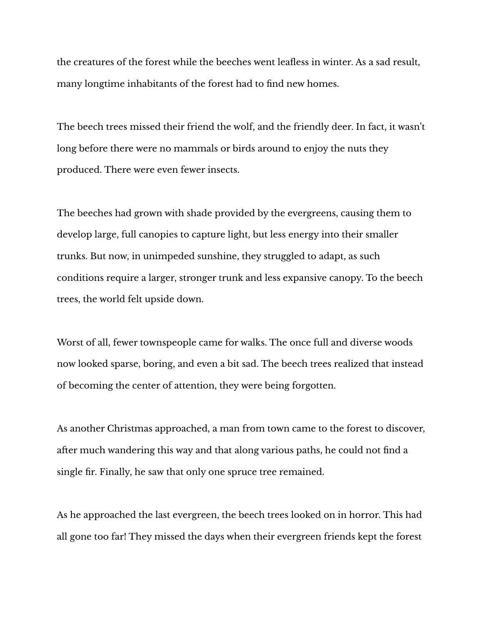the creatures of the forest while the beeches went leafless in winter. As a sad result, many longtime inhabitants of the forest had to find new homes.

The beech trees missed their friend the wolf, and the friendly deer. In fact, it wasn't long before there were no mammals or birds around to enjoy the nuts they produced. There were even fewer insects.

The beeches had grown with shade provided by the evergreens, causing them to develop large, full canopies to capture light, but less energy into their smaller trunks. But now, in unimpeded sunshine, they struggled to adapt, as such conditions require a larger, stronger trunk and less expansive canopy. To the beech trees, the world felt upside down.

Worst of all, fewer townspeople came for walks. The once full and diverse woods now looked sparse, boring, and even a bit sad. The beech trees realized that instead of becoming the center of attention, they were being forgotten.

As another Christmas approached, a man from town came to the forest to discover, after much wandering this way and that along various paths, he could not find a single fir. Finally, he saw that only one spruce tree remained.

As he approached the last evergreen, the beech trees looked on in horror. This had all gone too far! They missed the days when their evergreen friends kept the forest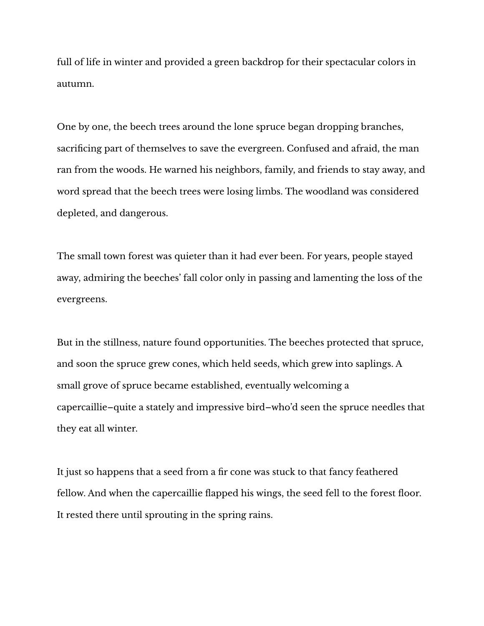full of life in winter and provided a green backdrop for their spectacular colors in autumn.

One by one, the beech trees around the lone spruce began dropping branches, sacrificing part of themselves to save the evergreen. Confused and afraid, the man ran from the woods. He warned his neighbors, family, and friends to stay away, and word spread that the beech trees were losing limbs. The woodland was considered depleted, and dangerous.

The small town forest was quieter than it had ever been. For years, people stayed away, admiring the beeches' fall color only in passing and lamenting the loss of the evergreens.

But in the stillness, nature found opportunities. The beeches protected that spruce, and soon the spruce grew cones, which held seeds, which grew into saplings. A small grove of spruce became established, eventually welcoming a capercaillie–quite a stately and impressive bird–who'd seen the spruce needles that they eat all winter.

It just so happens that a seed from a fir cone was stuck to that fancy feathered fellow. And when the capercaillie flapped his wings, the seed fell to the forest floor. It rested there until sprouting in the spring rains.